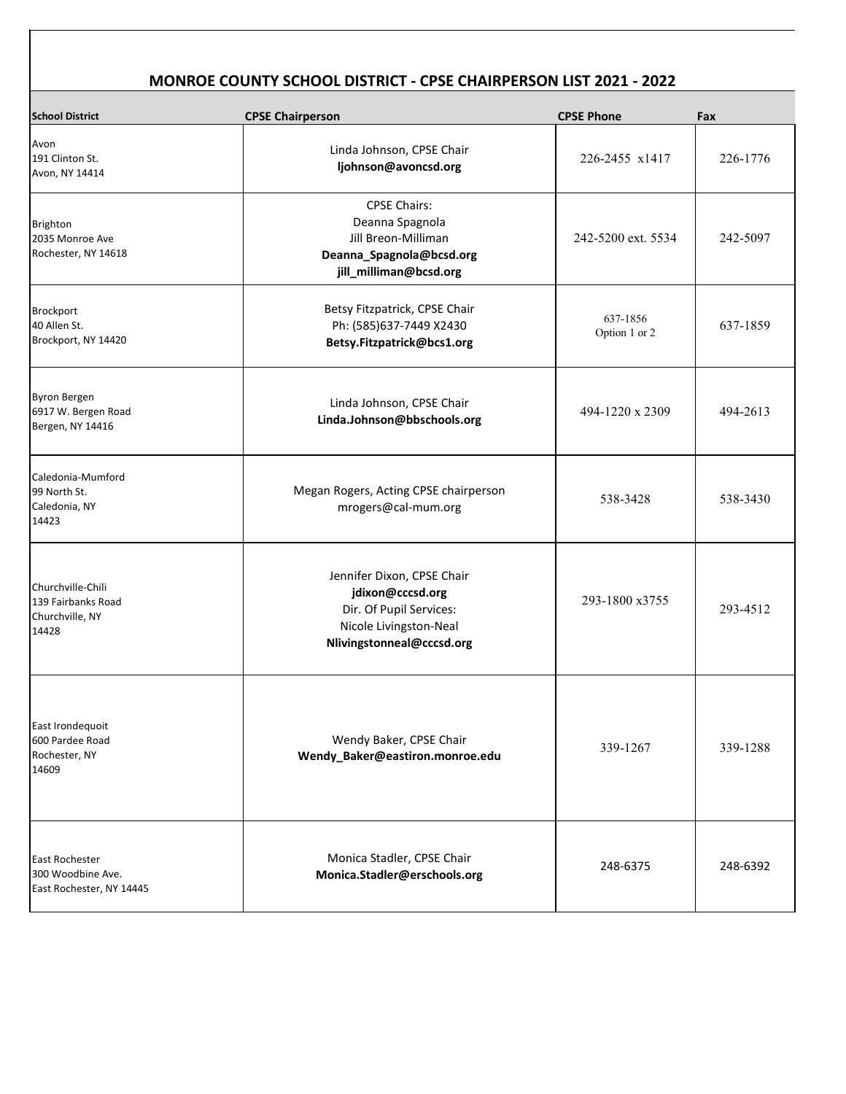| <b>School District</b>                                              | <b>CPSE Chairperson</b>                                                                                                          | <b>CPSE Phone</b>         | Fax      |
|---------------------------------------------------------------------|----------------------------------------------------------------------------------------------------------------------------------|---------------------------|----------|
| Avon<br>191 Clinton St.<br>Avon, NY 14414                           | Linda Johnson, CPSE Chair<br>ljohnson@avoncsd.org                                                                                | 226-2455 x1417            | 226-1776 |
| Brighton<br>2035 Monroe Ave<br>Rochester, NY 14618                  | <b>CPSE Chairs:</b><br>Deanna Spagnola<br><b>Jill Breon-Milliman</b><br>Deanna_Spagnola@bcsd.org<br>jill_milliman@bcsd.org       | 242-5200 ext. 5534        | 242-5097 |
| Brockport<br>40 Allen St.<br>Brockport, NY 14420                    | Betsy Fitzpatrick, CPSE Chair<br>Ph: (585)637-7449 X2430<br>Betsy.Fitzpatrick@bcs1.org                                           | 637-1856<br>Option 1 or 2 | 637-1859 |
| Byron Bergen<br>6917 W. Bergen Road<br>Bergen, NY 14416             | Linda Johnson, CPSE Chair<br>Linda.Johnson@bbschools.org                                                                         | 494-1220 x 2309           | 494-2613 |
| Caledonia-Mumford<br>99 North St.<br>Caledonia, NY<br>14423         | Megan Rogers, Acting CPSE chairperson<br>mrogers@cal-mum.org                                                                     | 538-3428                  | 538-3430 |
| Churchville-Chili<br>139 Fairbanks Road<br>Churchville, NY<br>14428 | Jennifer Dixon, CPSE Chair<br>jdixon@cccsd.org<br>Dir. Of Pupil Services:<br>Nicole Livingston-Neal<br>Nlivingstonneal@cccsd.org | 293-1800 x3755            | 293-4512 |
| East Irondequoit<br>600 Pardee Road<br>Rochester, NY<br>14609       | Wendy Baker, CPSE Chair<br>Wendy_Baker@eastiron.monroe.edu                                                                       | 339-1267                  | 339-1288 |
|                                                                     |                                                                                                                                  |                           |          |

| <b>East Rochester</b><br>300 Woodbine Ave.<br>East Rochester, NY 14445 | Monica Stadler, CPSE Chair<br>Monica.Stadler@erschools.org | 248-6375 | 248-6392 |  |
|------------------------------------------------------------------------|------------------------------------------------------------|----------|----------|--|
|------------------------------------------------------------------------|------------------------------------------------------------|----------|----------|--|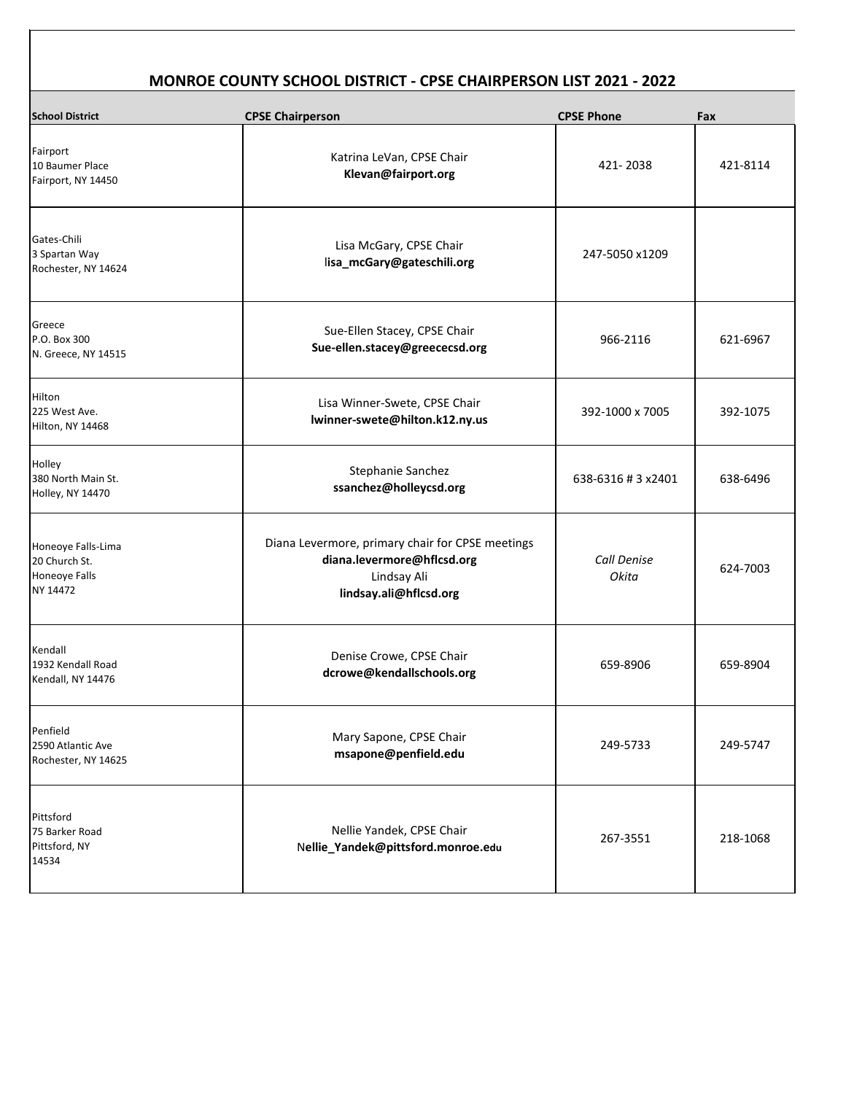| <b>School District</b>                                           | <b>CPSE Chairperson</b>                                                                                                 | <b>CPSE Phone</b>           | Fax      |
|------------------------------------------------------------------|-------------------------------------------------------------------------------------------------------------------------|-----------------------------|----------|
| Fairport<br>10 Baumer Place<br>Fairport, NY 14450                | Katrina LeVan, CPSE Chair<br>Klevan@fairport.org                                                                        | 421-2038                    | 421-8114 |
| Gates-Chili<br>3 Spartan Way<br>Rochester, NY 14624              | Lisa McGary, CPSE Chair<br>lisa_mcGary@gateschili.org                                                                   | 247-5050 x1209              |          |
| Greece<br>P.O. Box 300<br>N. Greece, NY 14515                    | Sue-Ellen Stacey, CPSE Chair<br>Sue-ellen.stacey@greececsd.org                                                          | 966-2116                    | 621-6967 |
| <b>Hilton</b><br>225 West Ave.<br>Hilton, NY 14468               | Lisa Winner-Swete, CPSE Chair<br>lwinner-swete@hilton.k12.ny.us                                                         | 392-1000 x 7005             | 392-1075 |
| Holley<br>380 North Main St.<br>Holley, NY 14470                 | <b>Stephanie Sanchez</b><br>ssanchez@holleycsd.org                                                                      | 638-6316 # 3 x2401          | 638-6496 |
| Honeoye Falls-Lima<br>20 Church St.<br>Honeoye Falls<br>NY 14472 | Diana Levermore, primary chair for CPSE meetings<br>diana.levermore@hflcsd.org<br>Lindsay Ali<br>lindsay.ali@hflcsd.org | <b>Call Denise</b><br>Okita | 624-7003 |
| Kendall<br>1932 Kendall Road<br>Kendall, NY 14476                | Denise Crowe, CPSE Chair<br>dcrowe@kendallschools.org                                                                   | 659-8906                    | 659-8904 |
| Penfield<br>2590 Atlantic Ave<br>Rochester, NY 14625             | Mary Sapone, CPSE Chair<br>msapone@penfield.edu                                                                         | 249-5733                    | 249-5747 |
| Pittsford<br>75 Barker Road<br>Pittsford, NY<br>14534            | Nellie Yandek, CPSE Chair<br>Nellie_Yandek@pittsford.monroe.edu                                                         | 267-3551                    | 218-1068 |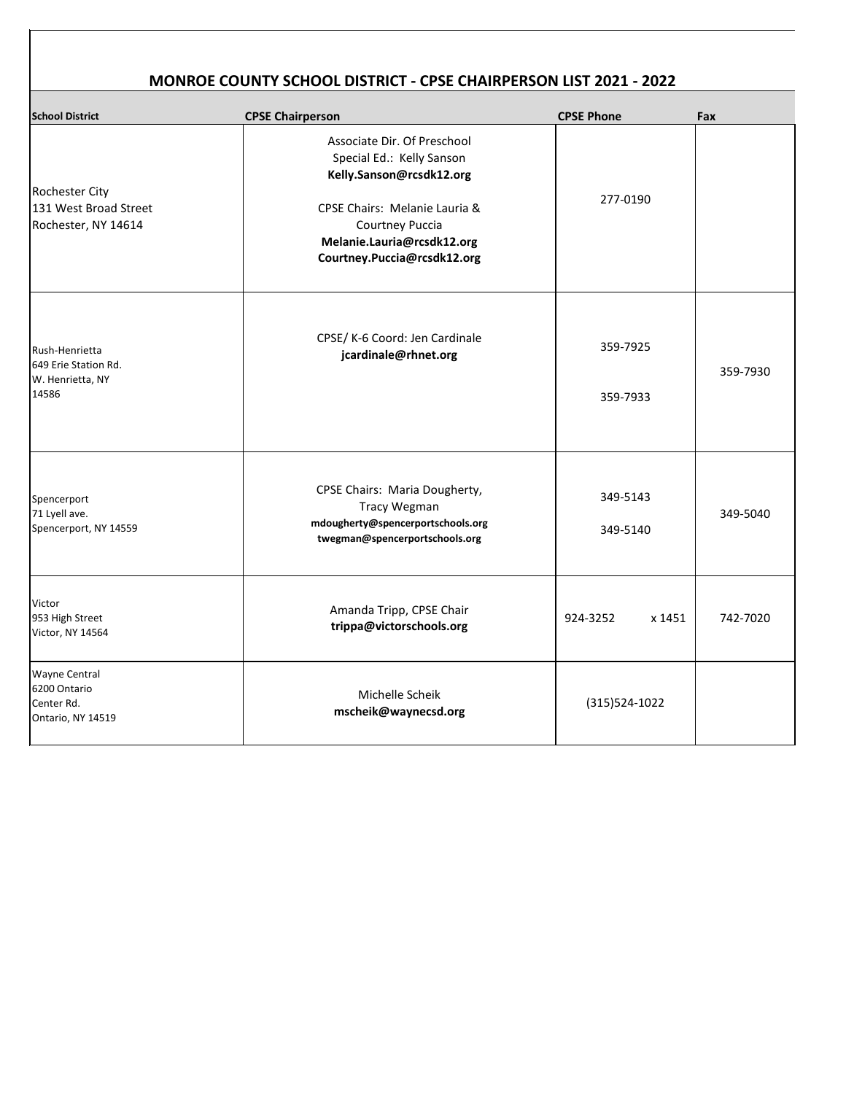| <b>School District</b>                                                  | <b>CPSE Chairperson</b>                                                                                                                                                                                                 | <b>CPSE Phone</b>    | Fax      |
|-------------------------------------------------------------------------|-------------------------------------------------------------------------------------------------------------------------------------------------------------------------------------------------------------------------|----------------------|----------|
| <b>Rochester City</b><br>131 West Broad Street<br>Rochester, NY 14614   | Associate Dir. Of Preschool<br>Special Ed.: Kelly Sanson<br>Kelly.Sanson@rcsdk12.org<br><b>CPSE Chairs: Melanie Lauria &amp;</b><br><b>Courtney Puccia</b><br>Melanie.Lauria@rcsdk12.org<br>Courtney.Puccia@rcsdk12.org | 277-0190             |          |
| Rush-Henrietta<br>649 Erie Station Rd.<br>W. Henrietta, NY<br>14586     | CPSE/ K-6 Coord: Jen Cardinale<br>jcardinale@rhnet.org                                                                                                                                                                  | 359-7925<br>359-7933 | 359-7930 |
| Spencerport<br>71 Lyell ave.<br>Spencerport, NY 14559                   | <b>CPSE Chairs: Maria Dougherty,</b><br><b>Tracy Wegman</b><br>mdougherty@spencerportschools.org<br>twegman@spencerportschools.org                                                                                      | 349-5143<br>349-5140 | 349-5040 |
| Victor<br>953 High Street<br>Victor, NY 14564                           | Amanda Tripp, CPSE Chair<br>trippa@victorschools.org                                                                                                                                                                    | 924-3252<br>x 1451   | 742-7020 |
| <b>Wayne Central</b><br>6200 Ontario<br>Center Rd.<br>Ontario, NY 14519 | Michelle Scheik<br>mscheik@waynecsd.org                                                                                                                                                                                 | $(315)524-1022$      |          |